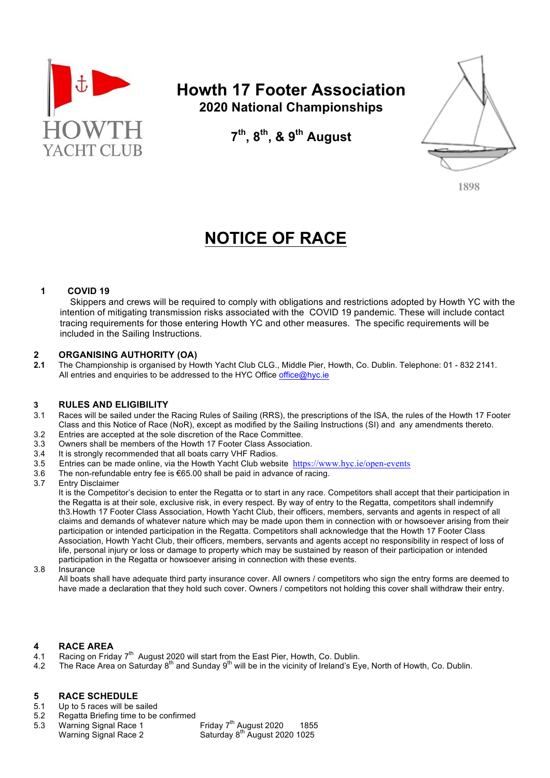

# **Howth 17 Footer Association 2020 National Championships**

**7th, 8th, & 9th August**



**1898**

# **NOTICE OF RACE**

### **1 COVID 19**

 Skippers and crews will be required to comply with obligations and restrictions adopted by Howth YC with the intention of mitigating transmission risks associated with the COVID 19 pandemic. These will include contact tracing requirements for those entering Howth YC and other measures. The specific requirements will be included in the Sailing Instructions.

#### **2 ORGANISING AUTHORITY (OA)**

**2.1** The Championship is organised by Howth Yacht Club CLG., Middle Pier, Howth, Co. Dublin. Telephone: 01 - 832 2141. All entries and enquiries to be addressed to the HYC Office office@hyc.ie

#### **3 RULES AND ELIGIBILITY**

- 3.1 Races will be sailed under the Racing Rules of Sailing (RRS), the prescriptions of the ISA, the rules of the Howth 17 Footer Class and this Notice of Race (NoR), except as modified by the Sailing Instructions (SI) and any amendments thereto. 3.2 Entries are accepted at the sole discretion of the Race Committee.
- 
- 3.3 Owners shall be members of the Howth 17 Footer Class Association.
- 3.4 It is strongly recommended that all boats carry VHF Radios.
- 3.5 Entries can be made online, via the Howth Yacht Club website https://www.hyc.ie/open-events
- 3.6 The non-refundable entry fee is €65.00 shall be paid in advance of racing.
- 3.7 Entry Disclaimer

It is the Competitor's decision to enter the Regatta or to start in any race. Competitors shall accept that their participation in the Regatta is at their sole, exclusive risk, in every respect. By way of entry to the Regatta, competitors shall indemnify th3.Howth 17 Footer Class Association, Howth Yacht Club, their officers, members, servants and agents in respect of all claims and demands of whatever nature which may be made upon them in connection with or howsoever arising from their participation or intended participation in the Regatta. Competitors shall acknowledge that the Howth 17 Footer Class Association, Howth Yacht Club, their officers, members, servants and agents accept no responsibility in respect of loss of life, personal injury or loss or damage to property which may be sustained by reason of their participation or intended participation in the Regatta or howsoever arising in connection with these events.

3.8 Insurance

All boats shall have adequate third party insurance cover. All owners / competitors who sign the entry forms are deemed to have made a declaration that they hold such cover. Owners / competitors not holding this cover shall withdraw their entry.

#### **4 RACE AREA**

- 4.1 Racing on Friday 7<sup>th</sup> August 2020 will start from the East Pier, Howth, Co. Dublin.
- 4.2 The Race Area on Saturday 8<sup>th</sup> and Sunday 9<sup>th</sup> will be in the vicinity of Ireland's Eye, North of Howth, Co. Dublin.

#### **5 RACE SCHEDULE**

- 5.1 Up to 5 races will be sailed
- 5.2 Regatta Briefing time to be confirmed
- 5.3 Warning Signal Race 1 Friday 7<sup>th</sup> August 2020 1855 Warning Signal Race 2 Saturday 8<sup>th</sup> August 2020 1025